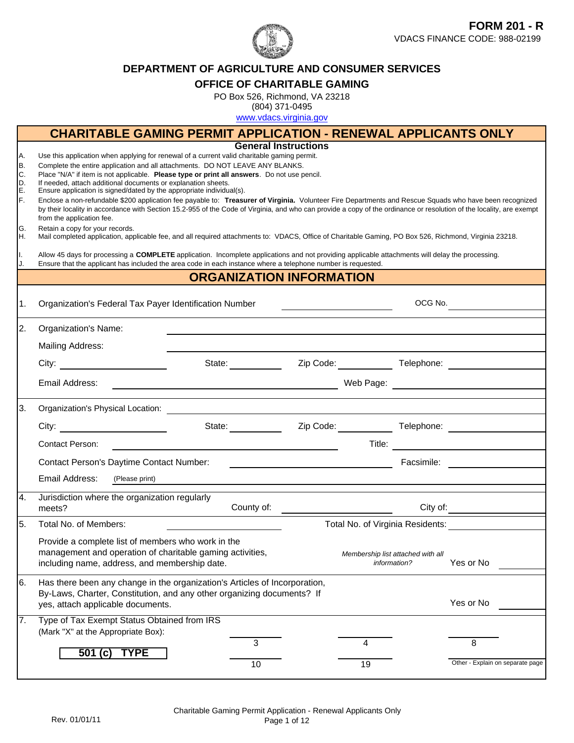

#### **DEPARTMENT OF AGRICULTURE AND CONSUMER SERVICES**

#### **OFFICE OF CHARITABLE GAMING**

PO Box 526, Richmond, VA 23218

(804) 371-0495

www.vdacs.virginia.gov

|                                                            |                                                                                                                                                                                                                                                                                                                                                                                                                                                                                                                                                                                                                                                                                                                                                                                                                                                                                                                                                                                                                                                                                                                                                                                                                                                       | <b>CHARITABLE GAMING PERMIT APPLICATION - RENEWAL APPLICANTS ONLY</b> |                             |                                   |              |                                               |  |
|------------------------------------------------------------|-------------------------------------------------------------------------------------------------------------------------------------------------------------------------------------------------------------------------------------------------------------------------------------------------------------------------------------------------------------------------------------------------------------------------------------------------------------------------------------------------------------------------------------------------------------------------------------------------------------------------------------------------------------------------------------------------------------------------------------------------------------------------------------------------------------------------------------------------------------------------------------------------------------------------------------------------------------------------------------------------------------------------------------------------------------------------------------------------------------------------------------------------------------------------------------------------------------------------------------------------------|-----------------------------------------------------------------------|-----------------------------|-----------------------------------|--------------|-----------------------------------------------|--|
| A.<br>B.<br>C.<br>D.<br>E.<br>F.<br>G.<br>IH.<br>Ι.<br>IJ. | Use this application when applying for renewal of a current valid charitable gaming permit.<br>Complete the entire application and all attachments. DO NOT LEAVE ANY BLANKS.<br>Place "N/A" if item is not applicable. Please type or print all answers. Do not use pencil.<br>If needed, attach additional documents or explanation sheets.<br>Ensure application is signed/dated by the appropriate individual(s).<br>Enclose a non-refundable \$200 application fee payable to: Treasurer of Virginia. Volunteer Fire Departments and Rescue Squads who have been recognized<br>by their locality in accordance with Section 15.2-955 of the Code of Virginia, and who can provide a copy of the ordinance or resolution of the locality, are exempt<br>from the application fee.<br>Retain a copy for your records.<br>Mail completed application, applicable fee, and all required attachments to: VDACS, Office of Charitable Gaming, PO Box 526, Richmond, Virginia 23218.<br>Allow 45 days for processing a COMPLETE application. Incomplete applications and not providing applicable attachments will delay the processing.<br>Ensure that the applicant has included the area code in each instance where a telephone number is requested. |                                                                       | <b>General Instructions</b> |                                   |              |                                               |  |
|                                                            |                                                                                                                                                                                                                                                                                                                                                                                                                                                                                                                                                                                                                                                                                                                                                                                                                                                                                                                                                                                                                                                                                                                                                                                                                                                       | <b>ORGANIZATION INFORMATION</b>                                       |                             |                                   |              |                                               |  |
| l1.                                                        | Organization's Federal Tax Payer Identification Number                                                                                                                                                                                                                                                                                                                                                                                                                                                                                                                                                                                                                                                                                                                                                                                                                                                                                                                                                                                                                                                                                                                                                                                                |                                                                       |                             |                                   |              | OCG No.                                       |  |
| 2.                                                         | <b>Organization's Name:</b>                                                                                                                                                                                                                                                                                                                                                                                                                                                                                                                                                                                                                                                                                                                                                                                                                                                                                                                                                                                                                                                                                                                                                                                                                           |                                                                       |                             |                                   |              |                                               |  |
|                                                            | Mailing Address:                                                                                                                                                                                                                                                                                                                                                                                                                                                                                                                                                                                                                                                                                                                                                                                                                                                                                                                                                                                                                                                                                                                                                                                                                                      |                                                                       |                             |                                   |              |                                               |  |
|                                                            | City: the contract of the contract of the contract of the contract of the contract of the contract of the contract of the contract of the contract of the contract of the contract of the contract of the contract of the cont                                                                                                                                                                                                                                                                                                                                                                                                                                                                                                                                                                                                                                                                                                                                                                                                                                                                                                                                                                                                                        |                                                                       |                             |                                   |              | State: <u>Zip Code: Telephone:</u> Telephone: |  |
|                                                            | Email Address:                                                                                                                                                                                                                                                                                                                                                                                                                                                                                                                                                                                                                                                                                                                                                                                                                                                                                                                                                                                                                                                                                                                                                                                                                                        |                                                                       |                             |                                   |              |                                               |  |
| 3.                                                         |                                                                                                                                                                                                                                                                                                                                                                                                                                                                                                                                                                                                                                                                                                                                                                                                                                                                                                                                                                                                                                                                                                                                                                                                                                                       |                                                                       |                             |                                   |              |                                               |  |
|                                                            | City: $\qquad \qquad \qquad$                                                                                                                                                                                                                                                                                                                                                                                                                                                                                                                                                                                                                                                                                                                                                                                                                                                                                                                                                                                                                                                                                                                                                                                                                          |                                                                       |                             |                                   |              |                                               |  |
|                                                            | <b>Contact Person:</b>                                                                                                                                                                                                                                                                                                                                                                                                                                                                                                                                                                                                                                                                                                                                                                                                                                                                                                                                                                                                                                                                                                                                                                                                                                |                                                                       |                             |                                   |              |                                               |  |
|                                                            | Contact Person's Daytime Contact Number:                                                                                                                                                                                                                                                                                                                                                                                                                                                                                                                                                                                                                                                                                                                                                                                                                                                                                                                                                                                                                                                                                                                                                                                                              |                                                                       |                             |                                   |              |                                               |  |
|                                                            | Email Address: (Please print)                                                                                                                                                                                                                                                                                                                                                                                                                                                                                                                                                                                                                                                                                                                                                                                                                                                                                                                                                                                                                                                                                                                                                                                                                         |                                                                       |                             |                                   |              |                                               |  |
| 4.                                                         | Jurisdiction where the organization regularly<br>meets?                                                                                                                                                                                                                                                                                                                                                                                                                                                                                                                                                                                                                                                                                                                                                                                                                                                                                                                                                                                                                                                                                                                                                                                               |                                                                       |                             |                                   |              |                                               |  |
| 5.                                                         | Total No. of Members:                                                                                                                                                                                                                                                                                                                                                                                                                                                                                                                                                                                                                                                                                                                                                                                                                                                                                                                                                                                                                                                                                                                                                                                                                                 |                                                                       |                             |                                   |              | Total No. of Virginia Residents:              |  |
|                                                            | Provide a complete list of members who work in the<br>management and operation of charitable gaming activities,<br>including name, address, and membership date.                                                                                                                                                                                                                                                                                                                                                                                                                                                                                                                                                                                                                                                                                                                                                                                                                                                                                                                                                                                                                                                                                      |                                                                       |                             | Membership list attached with all | information? | Yes or No                                     |  |
| 6.                                                         | Has there been any change in the organization's Articles of Incorporation,<br>By-Laws, Charter, Constitution, and any other organizing documents? If<br>yes, attach applicable documents.                                                                                                                                                                                                                                                                                                                                                                                                                                                                                                                                                                                                                                                                                                                                                                                                                                                                                                                                                                                                                                                             |                                                                       |                             |                                   |              | Yes or No                                     |  |
| 7.                                                         | Type of Tax Exempt Status Obtained from IRS<br>(Mark "X" at the Appropriate Box):                                                                                                                                                                                                                                                                                                                                                                                                                                                                                                                                                                                                                                                                                                                                                                                                                                                                                                                                                                                                                                                                                                                                                                     |                                                                       |                             |                                   |              |                                               |  |
|                                                            | <b>TYPE</b><br>501 $(c)$                                                                                                                                                                                                                                                                                                                                                                                                                                                                                                                                                                                                                                                                                                                                                                                                                                                                                                                                                                                                                                                                                                                                                                                                                              | 3                                                                     |                             | 4                                 |              | 8                                             |  |
|                                                            |                                                                                                                                                                                                                                                                                                                                                                                                                                                                                                                                                                                                                                                                                                                                                                                                                                                                                                                                                                                                                                                                                                                                                                                                                                                       | 10                                                                    |                             | 19                                |              | Other - Explain on separate page              |  |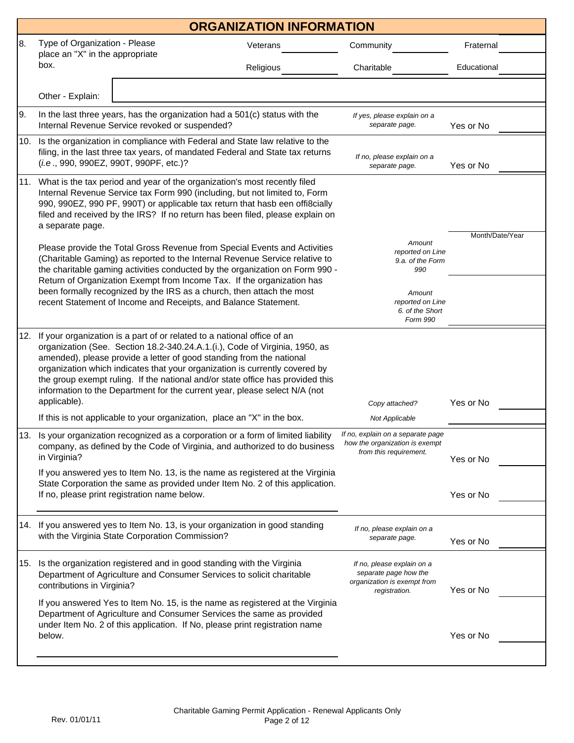|     |                                                                                                                                                                                                                                                                                                                                                                                                                                                                                               | <b>ORGANIZATION INFORMATION</b> |                                                                                                     |                 |
|-----|-----------------------------------------------------------------------------------------------------------------------------------------------------------------------------------------------------------------------------------------------------------------------------------------------------------------------------------------------------------------------------------------------------------------------------------------------------------------------------------------------|---------------------------------|-----------------------------------------------------------------------------------------------------|-----------------|
| 8.  | Type of Organization - Please<br>place an "X" in the appropriate                                                                                                                                                                                                                                                                                                                                                                                                                              | Veterans                        | Community                                                                                           | Fraternal       |
|     | box.                                                                                                                                                                                                                                                                                                                                                                                                                                                                                          | Religious                       | Charitable                                                                                          | Educational     |
|     | Other - Explain:                                                                                                                                                                                                                                                                                                                                                                                                                                                                              |                                 |                                                                                                     |                 |
| 9.  | In the last three years, has the organization had a 501(c) status with the<br>Internal Revenue Service revoked or suspended?                                                                                                                                                                                                                                                                                                                                                                  |                                 | If yes, please explain on a<br>separate page.                                                       | Yes or No       |
| 10. | Is the organization in compliance with Federal and State law relative to the<br>filing, in the last three tax years, of mandated Federal and State tax returns<br>(i.e., 990, 990EZ, 990T, 990PF, etc.)?                                                                                                                                                                                                                                                                                      |                                 | If no, please explain on a<br>separate page.                                                        | Yes or No       |
| 11. | What is the tax period and year of the organization's most recently filed<br>Internal Revenue Service tax Form 990 (including, but not limited to, Form<br>990, 990EZ, 990 PF, 990T) or applicable tax return that hasb een offi8cially<br>filed and received by the IRS? If no return has been filed, please explain on<br>a separate page.                                                                                                                                                  |                                 |                                                                                                     | Month/Date/Year |
|     | Please provide the Total Gross Revenue from Special Events and Activities<br>(Charitable Gaming) as reported to the Internal Revenue Service relative to<br>the charitable gaming activities conducted by the organization on Form 990 -<br>Return of Organization Exempt from Income Tax. If the organization has                                                                                                                                                                            |                                 | Amount<br>reported on Line<br>9.a. of the Form<br>990                                               |                 |
|     | been formally recognized by the IRS as a church, then attach the most<br>recent Statement of Income and Receipts, and Balance Statement.                                                                                                                                                                                                                                                                                                                                                      |                                 | Amount<br>reported on Line<br>6. of the Short<br>Form 990                                           |                 |
| 12. | If your organization is a part of or related to a national office of an<br>organization (See. Section 18.2-340.24.A.1.(i.), Code of Virginia, 1950, as<br>amended), please provide a letter of good standing from the national<br>organization which indicates that your organization is currently covered by<br>the group exempt ruling. If the national and/or state office has provided this<br>information to the Department for the current year, please select N/A (not<br>applicable). |                                 | Copy attached?                                                                                      | Yes or No       |
|     | If this is not applicable to your organization, place an "X" in the box.                                                                                                                                                                                                                                                                                                                                                                                                                      |                                 | Not Applicable                                                                                      |                 |
| 13. | Is your organization recognized as a corporation or a form of limited liability<br>company, as defined by the Code of Virginia, and authorized to do business<br>in Virginia?                                                                                                                                                                                                                                                                                                                 |                                 | If no, explain on a separate page<br>how the organization is exempt<br>from this requirement.       | Yes or No       |
|     | If you answered yes to Item No. 13, is the name as registered at the Virginia<br>State Corporation the same as provided under Item No. 2 of this application.<br>If no, please print registration name below.                                                                                                                                                                                                                                                                                 |                                 |                                                                                                     | Yes or No       |
|     | 14. If you answered yes to Item No. 13, is your organization in good standing<br>with the Virginia State Corporation Commission?                                                                                                                                                                                                                                                                                                                                                              |                                 | If no, please explain on a<br>separate page.                                                        | Yes or No       |
| 15. | Is the organization registered and in good standing with the Virginia<br>Department of Agriculture and Consumer Services to solicit charitable<br>contributions in Virginia?                                                                                                                                                                                                                                                                                                                  |                                 | If no, please explain on a<br>separate page how the<br>organization is exempt from<br>registration. | Yes or No       |
|     | If you answered Yes to Item No. 15, is the name as registered at the Virginia<br>Department of Agriculture and Consumer Services the same as provided<br>under Item No. 2 of this application. If No, please print registration name<br>below.                                                                                                                                                                                                                                                |                                 |                                                                                                     | Yes or No       |
|     |                                                                                                                                                                                                                                                                                                                                                                                                                                                                                               |                                 |                                                                                                     |                 |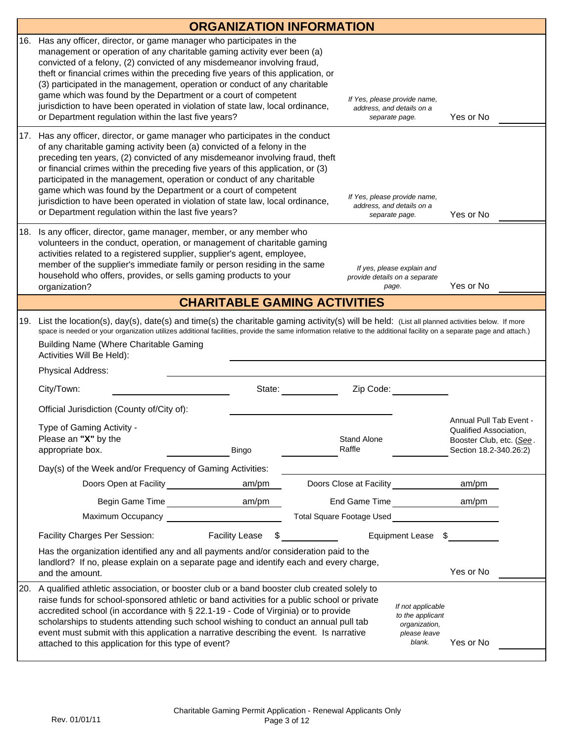|     |                                                                                                                                                                                                                                                                                                                                                                                                                                                                                                                                                                                                                | <b>ORGANIZATION INFORMATION</b>     |                                  |                                                                             |                                                                                  |                                                                              |  |
|-----|----------------------------------------------------------------------------------------------------------------------------------------------------------------------------------------------------------------------------------------------------------------------------------------------------------------------------------------------------------------------------------------------------------------------------------------------------------------------------------------------------------------------------------------------------------------------------------------------------------------|-------------------------------------|----------------------------------|-----------------------------------------------------------------------------|----------------------------------------------------------------------------------|------------------------------------------------------------------------------|--|
| 16. | Has any officer, director, or game manager who participates in the<br>management or operation of any charitable gaming activity ever been (a)<br>convicted of a felony, (2) convicted of any misdemeanor involving fraud,<br>theft or financial crimes within the preceding five years of this application, or<br>(3) participated in the management, operation or conduct of any charitable<br>game which was found by the Department or a court of competent<br>jurisdiction to have been operated in violation of state law, local ordinance,<br>or Department regulation within the last five years?       |                                     |                                  | If Yes, please provide name,<br>address, and details on a<br>separate page. |                                                                                  | Yes or No                                                                    |  |
| 17. | Has any officer, director, or game manager who participates in the conduct<br>of any charitable gaming activity been (a) convicted of a felony in the<br>preceding ten years, (2) convicted of any misdemeanor involving fraud, theft<br>or financial crimes within the preceding five years of this application, or (3)<br>participated in the management, operation or conduct of any charitable<br>game which was found by the Department or a court of competent<br>jurisdiction to have been operated in violation of state law, local ordinance,<br>or Department regulation within the last five years? |                                     |                                  | If Yes, please provide name,<br>address, and details on a<br>separate page. |                                                                                  | Yes or No                                                                    |  |
| 18. | Is any officer, director, game manager, member, or any member who<br>volunteers in the conduct, operation, or management of charitable gaming<br>activities related to a registered supplier, supplier's agent, employee,<br>member of the supplier's immediate family or person residing in the same<br>household who offers, provides, or sells gaming products to your<br>organization?                                                                                                                                                                                                                     |                                     |                                  | provide details on a separate<br>page.                                      | If yes, please explain and                                                       | Yes or No                                                                    |  |
|     |                                                                                                                                                                                                                                                                                                                                                                                                                                                                                                                                                                                                                | <b>CHARITABLE GAMING ACTIVITIES</b> |                                  |                                                                             |                                                                                  |                                                                              |  |
| 19. | List the location(s), day(s), date(s) and time(s) the charitable gaming activity(s) will be held: (List all planned activities below. If more<br>space is needed or your organization utilizes additional facilities, provide the same information relative to the additional facility on a separate page and attach.)<br><b>Building Name (Where Charitable Gaming</b><br>Activities Will Be Held):<br>Physical Address:                                                                                                                                                                                      |                                     |                                  |                                                                             |                                                                                  |                                                                              |  |
|     |                                                                                                                                                                                                                                                                                                                                                                                                                                                                                                                                                                                                                |                                     |                                  |                                                                             |                                                                                  |                                                                              |  |
|     | City/Town:                                                                                                                                                                                                                                                                                                                                                                                                                                                                                                                                                                                                     | State:                              |                                  | Zip Code:                                                                   |                                                                                  |                                                                              |  |
|     | Official Jurisdiction (County of/City of):                                                                                                                                                                                                                                                                                                                                                                                                                                                                                                                                                                     |                                     |                                  |                                                                             |                                                                                  | Annual Pull Tab Event -                                                      |  |
|     | Type of Gaming Activity -<br>Please an "X" by the<br>appropriate box.                                                                                                                                                                                                                                                                                                                                                                                                                                                                                                                                          | Bingo                               |                                  | Stand Alone<br>Raffle                                                       |                                                                                  | Qualified Association,<br>Booster Club, etc. (See.<br>Section 18.2-340.26:2) |  |
|     | Day(s) of the Week and/or Frequency of Gaming Activities:                                                                                                                                                                                                                                                                                                                                                                                                                                                                                                                                                      |                                     |                                  |                                                                             |                                                                                  |                                                                              |  |
|     | Doors Open at Facility                                                                                                                                                                                                                                                                                                                                                                                                                                                                                                                                                                                         | am/pm                               |                                  |                                                                             |                                                                                  | am/pm                                                                        |  |
|     | Begin Game Time<br><u>Land Communication</u>                                                                                                                                                                                                                                                                                                                                                                                                                                                                                                                                                                   | am/pm                               |                                  |                                                                             | End Game Time<br><u>Land Came</u>                                                | am/pm                                                                        |  |
|     | Maximum Occupancy                                                                                                                                                                                                                                                                                                                                                                                                                                                                                                                                                                                              |                                     | <b>Total Square Footage Used</b> |                                                                             |                                                                                  |                                                                              |  |
|     | Facility Charges Per Session:                                                                                                                                                                                                                                                                                                                                                                                                                                                                                                                                                                                  | <b>Facility Lease</b>               |                                  |                                                                             | <b>Equipment Lease</b><br>\$                                                     |                                                                              |  |
|     | Has the organization identified any and all payments and/or consideration paid to the<br>landlord? If no, please explain on a separate page and identify each and every charge,<br>and the amount.                                                                                                                                                                                                                                                                                                                                                                                                             |                                     |                                  |                                                                             |                                                                                  | Yes or No                                                                    |  |
| 20. | A qualified athletic association, or booster club or a band booster club created solely to<br>raise funds for school-sponsored athletic or band activities for a public school or private<br>accredited school (in accordance with § 22.1-19 - Code of Virginia) or to provide<br>scholarships to students attending such school wishing to conduct an annual pull tab<br>event must submit with this application a narrative describing the event. Is narrative<br>attached to this application for this type of event?                                                                                       |                                     |                                  |                                                                             | If not applicable<br>to the applicant<br>organization,<br>please leave<br>blank. | Yes or No                                                                    |  |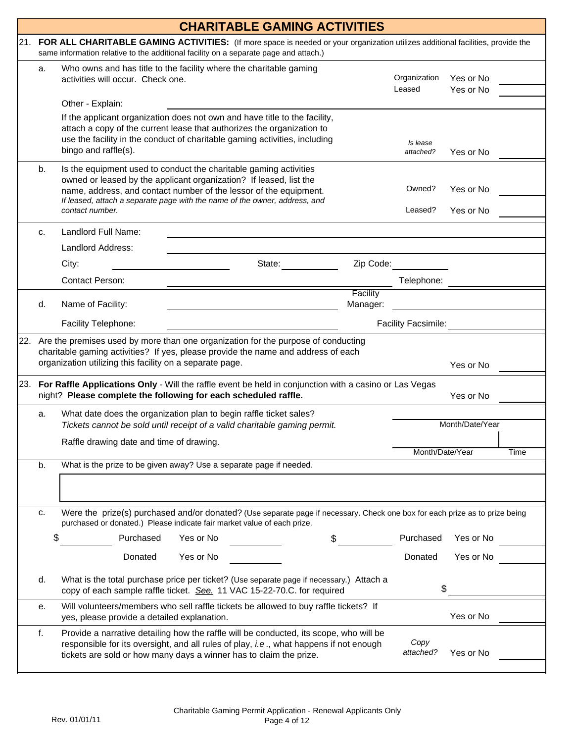|     |    | <b>CHARITABLE GAMING ACTIVITIES</b>                                                                                                                                                                                                                        |                      |                            |                        |      |
|-----|----|------------------------------------------------------------------------------------------------------------------------------------------------------------------------------------------------------------------------------------------------------------|----------------------|----------------------------|------------------------|------|
| 21. |    | FOR ALL CHARITABLE GAMING ACTIVITIES: (If more space is needed or your organization utilizes additional facilities, provide the<br>same information relative to the additional facility on a separate page and attach.)                                    |                      |                            |                        |      |
|     | a. | Who owns and has title to the facility where the charitable gaming<br>activities will occur. Check one.                                                                                                                                                    |                      | Organization               | Yes or No              |      |
|     |    | Other - Explain:                                                                                                                                                                                                                                           |                      | Leased                     | Yes or No              |      |
|     |    | If the applicant organization does not own and have title to the facility,<br>attach a copy of the current lease that authorizes the organization to<br>use the facility in the conduct of charitable gaming activities, including<br>bingo and raffle(s). |                      | Is lease<br>attached?      | Yes or No              |      |
|     | b. | Is the equipment used to conduct the charitable gaming activities<br>owned or leased by the applicant organization? If leased, list the                                                                                                                    |                      | Owned?                     |                        |      |
|     |    | name, address, and contact number of the lessor of the equipment.<br>If leased, attach a separate page with the name of the owner, address, and<br>contact number.                                                                                         |                      | Leased?                    | Yes or No<br>Yes or No |      |
|     | c. | Landlord Full Name:                                                                                                                                                                                                                                        |                      |                            |                        |      |
|     |    | Landlord Address:                                                                                                                                                                                                                                          |                      |                            |                        |      |
|     |    | State:<br>City:                                                                                                                                                                                                                                            | Zip Code:            |                            |                        |      |
|     |    | Contact Person:                                                                                                                                                                                                                                            |                      | Telephone:                 |                        |      |
|     | d. | Name of Facility:                                                                                                                                                                                                                                          | Facility<br>Manager: |                            |                        |      |
|     |    | Facility Telephone:                                                                                                                                                                                                                                        |                      | <b>Facility Facsimile:</b> |                        |      |
|     |    | 22. Are the premises used by more than one organization for the purpose of conducting<br>charitable gaming activities? If yes, please provide the name and address of each<br>organization utilizing this facility on a separate page.                     |                      |                            | Yes or No              |      |
|     |    | 23. For Raffle Applications Only - Will the raffle event be held in conjunction with a casino or Las Vegas<br>night? Please complete the following for each scheduled raffle.                                                                              |                      |                            | Yes or No              |      |
|     | a. | What date does the organization plan to begin raffle ticket sales?<br>Tickets cannot be sold until receipt of a valid charitable gaming permit.                                                                                                            |                      |                            | Month/Date/Year        |      |
|     |    | Raffle drawing date and time of drawing.                                                                                                                                                                                                                   |                      | Month/Date/Year            |                        | Time |
|     | b. | What is the prize to be given away? Use a separate page if needed.                                                                                                                                                                                         |                      |                            |                        |      |
|     |    |                                                                                                                                                                                                                                                            |                      |                            |                        |      |
|     | c. | Were the prize(s) purchased and/or donated? (Use separate page if necessary. Check one box for each prize as to prize being<br>purchased or donated.) Please indicate fair market value of each prize.                                                     |                      |                            |                        |      |
|     | \$ | Purchased<br>Yes or No<br>\$                                                                                                                                                                                                                               |                      | Purchased                  | Yes or No              |      |
|     |    | Donated<br>Yes or No                                                                                                                                                                                                                                       |                      | Donated                    | Yes or No              |      |
|     | d. | What is the total purchase price per ticket? (Use separate page if necessary.) Attach a<br>copy of each sample raffle ticket. See. 11 VAC 15-22-70.C. for required                                                                                         |                      | \$                         |                        |      |
|     | е. | Will volunteers/members who sell raffle tickets be allowed to buy raffle tickets? If<br>yes, please provide a detailed explanation.                                                                                                                        |                      |                            | Yes or No              |      |
|     | f. | Provide a narrative detailing how the raffle will be conducted, its scope, who will be<br>responsible for its oversight, and all rules of play, i.e., what happens if not enough<br>tickets are sold or how many days a winner has to claim the prize.     |                      | Copy<br>attached?          | Yes or No              |      |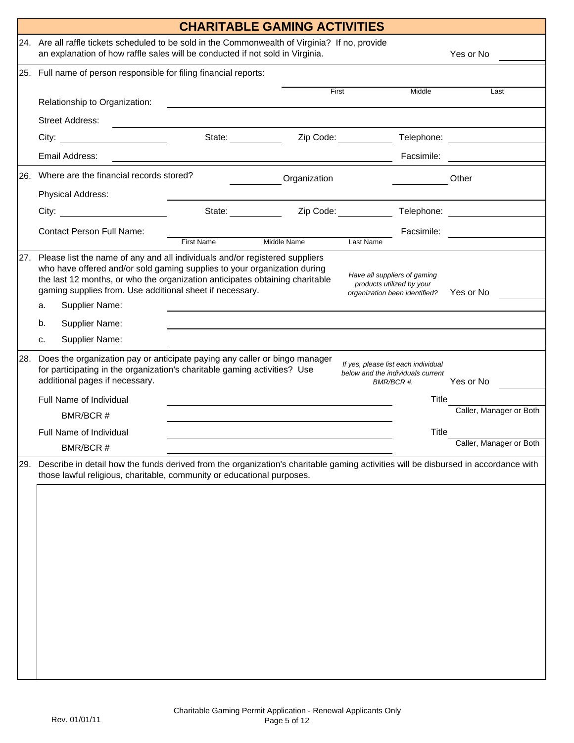|      |                                                                                                                                                                                               |                                                                                                                                                                                                                                                                                                                       | <b>CHARITABLE GAMING ACTIVITIES</b> |              |                                                                                            |              |                         |
|------|-----------------------------------------------------------------------------------------------------------------------------------------------------------------------------------------------|-----------------------------------------------------------------------------------------------------------------------------------------------------------------------------------------------------------------------------------------------------------------------------------------------------------------------|-------------------------------------|--------------|--------------------------------------------------------------------------------------------|--------------|-------------------------|
|      | 24. Are all raffle tickets scheduled to be sold in the Commonwealth of Virginia? If no, provide<br>an explanation of how raffle sales will be conducted if not sold in Virginia.<br>Yes or No |                                                                                                                                                                                                                                                                                                                       |                                     |              |                                                                                            |              |                         |
|      | 25. Full name of person responsible for filing financial reports:                                                                                                                             |                                                                                                                                                                                                                                                                                                                       |                                     |              |                                                                                            |              |                         |
|      |                                                                                                                                                                                               | Relationship to Organization:                                                                                                                                                                                                                                                                                         |                                     | First        |                                                                                            | Middle       | Last                    |
|      |                                                                                                                                                                                               | <b>Street Address:</b>                                                                                                                                                                                                                                                                                                |                                     |              |                                                                                            |              |                         |
|      |                                                                                                                                                                                               | City: the contract of the contract of the contract of the contract of the contract of the contract of the contract of the contract of the contract of the contract of the contract of the contract of the contract of the cont                                                                                        | State:                              |              | Zip Code:                                                                                  | Telephone:   |                         |
|      |                                                                                                                                                                                               | Email Address:                                                                                                                                                                                                                                                                                                        |                                     |              |                                                                                            | Facsimile:   |                         |
| 26.  |                                                                                                                                                                                               | Where are the financial records stored?                                                                                                                                                                                                                                                                               |                                     | Organization |                                                                                            |              | Other                   |
|      |                                                                                                                                                                                               | Physical Address:                                                                                                                                                                                                                                                                                                     |                                     |              |                                                                                            |              |                         |
|      |                                                                                                                                                                                               | City:                                                                                                                                                                                                                                                                                                                 | State:                              |              | Zip Code:                                                                                  | Telephone:   |                         |
|      |                                                                                                                                                                                               | <b>Contact Person Full Name:</b>                                                                                                                                                                                                                                                                                      | <b>First Name</b>                   | Middle Name  | Last Name                                                                                  | Facsimile:   |                         |
| 27.  | a.                                                                                                                                                                                            | Please list the name of any and all individuals and/or registered suppliers<br>who have offered and/or sold gaming supplies to your organization during<br>the last 12 months, or who the organization anticipates obtaining charitable<br>gaming supplies from. Use additional sheet if necessary.<br>Supplier Name: |                                     |              | Have all suppliers of gaming<br>products utilized by your<br>organization been identified? |              | Yes or No               |
|      | b.                                                                                                                                                                                            | Supplier Name:                                                                                                                                                                                                                                                                                                        |                                     |              |                                                                                            |              |                         |
|      | c.                                                                                                                                                                                            | Supplier Name:                                                                                                                                                                                                                                                                                                        |                                     |              |                                                                                            |              |                         |
| 28.  |                                                                                                                                                                                               | Does the organization pay or anticipate paying any caller or bingo manager<br>for participating in the organization's charitable gaming activities? Use<br>additional pages if necessary.<br>Full Name of Individual                                                                                                  |                                     |              | If yes, please list each individual<br>below and the individuals current<br>BMR/BCR #.     | Title        | Yes or No               |
|      |                                                                                                                                                                                               | BMR/BCR #                                                                                                                                                                                                                                                                                                             |                                     |              |                                                                                            |              | Caller, Manager or Both |
|      |                                                                                                                                                                                               | <b>Full Name of Individual</b>                                                                                                                                                                                                                                                                                        |                                     |              |                                                                                            | <b>Title</b> | Caller, Manager or Both |
|      |                                                                                                                                                                                               | BMR/BCR #                                                                                                                                                                                                                                                                                                             |                                     |              |                                                                                            |              |                         |
| I29. |                                                                                                                                                                                               | Describe in detail how the funds derived from the organization's charitable gaming activities will be disbursed in accordance with<br>those lawful religious, charitable, community or educational purposes.                                                                                                          |                                     |              |                                                                                            |              |                         |
|      |                                                                                                                                                                                               |                                                                                                                                                                                                                                                                                                                       |                                     |              |                                                                                            |              |                         |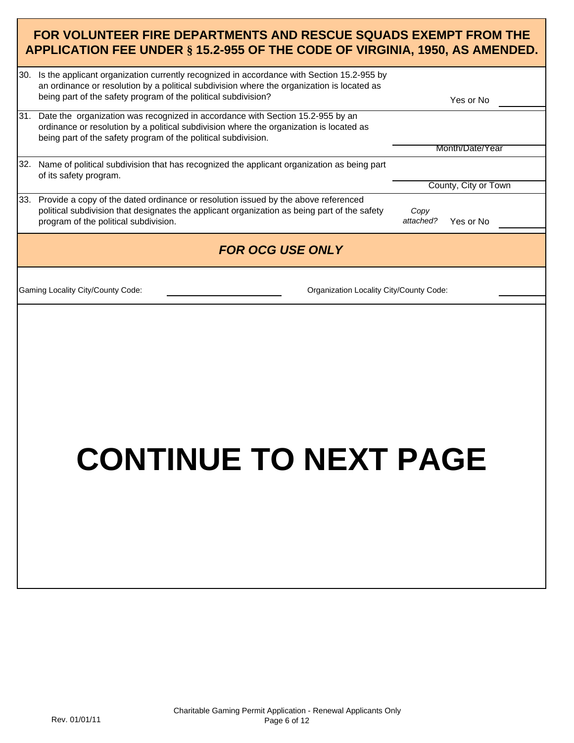#### **FOR VOLUNTEER FIRE DEPARTMENTS AND RESCUE SQUADS EXEMPT FROM THE APPLICATION FEE UNDER § 15.2-955 OF THE CODE OF VIRGINIA, 1950, AS AMENDED.**

| 30. Is the applicant organization currently recognized in accordance with Section 15.2-955 by<br>an ordinance or resolution by a political subdivision where the organization is located as<br>being part of the safety program of the political subdivision? | Yes or No                      |
|---------------------------------------------------------------------------------------------------------------------------------------------------------------------------------------------------------------------------------------------------------------|--------------------------------|
| 31. Date the organization was recognized in accordance with Section 15.2-955 by an<br>ordinance or resolution by a political subdivision where the organization is located as<br>being part of the safety program of the political subdivision.               |                                |
|                                                                                                                                                                                                                                                               | Month/Date/Year                |
| 32. Name of political subdivision that has recognized the applicant organization as being part<br>of its safety program.                                                                                                                                      |                                |
|                                                                                                                                                                                                                                                               | County, City or Town           |
| 33. Provide a copy of the dated ordinance or resolution issued by the above referenced<br>political subdivision that designates the applicant organization as being part of the safety<br>program of the political subdivision.                               | Copy<br>attached?<br>Yes or No |
| <b>FOR OCG USE ONLY</b>                                                                                                                                                                                                                                       |                                |
| Gaming Locality City/County Code:<br>Organization Locality City/County Code:                                                                                                                                                                                  |                                |
| <b>CONTINUE TO NEXT PAGE</b>                                                                                                                                                                                                                                  |                                |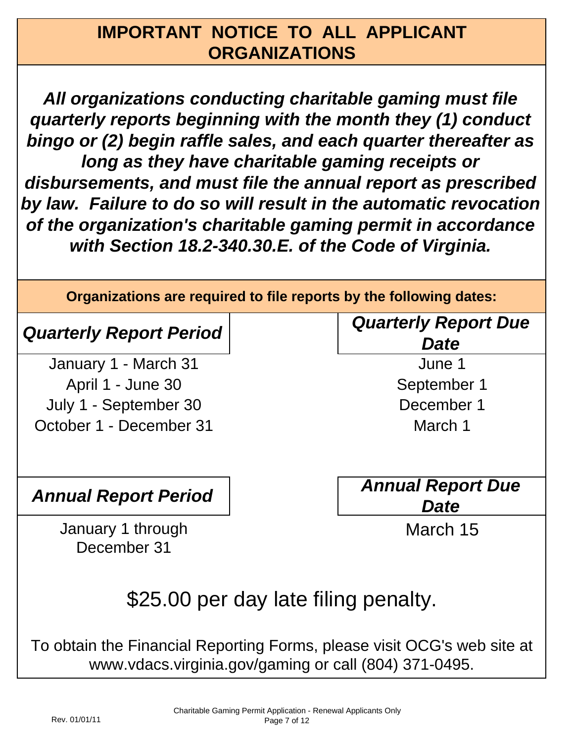## **IMPORTANT NOTICE TO ALL APPLICANT ORGANIZATIONS**

*All organizations conducting charitable gaming must file quarterly reports beginning with the month they (1) conduct bingo or (2) begin raffle sales, and each quarter thereafter as long as they have charitable gaming receipts or disbursements, and must file the annual report as prescribed by law. Failure to do so will result in the automatic revocation of the organization's charitable gaming permit in accordance with Section 18.2-340.30.E. of the Code of Virginia.*

**Organizations are required to file reports by the following dates:**

## *Quarterly Report Period*

July 1 - September 30 January 1 - March 31 April 1 - June 30 October 1 - December 31

January 1 through December 31

*Quarterly Report Due Date*

June 1 September 1 December 1 March 1

*Annual Report Period Annual Report Due Date*

March 15

# \$25.00 per day late filing penalty.

To obtain the Financial Reporting Forms, please visit OCG's web site at www.vdacs.virginia.gov/gaming or call (804) 371-0495.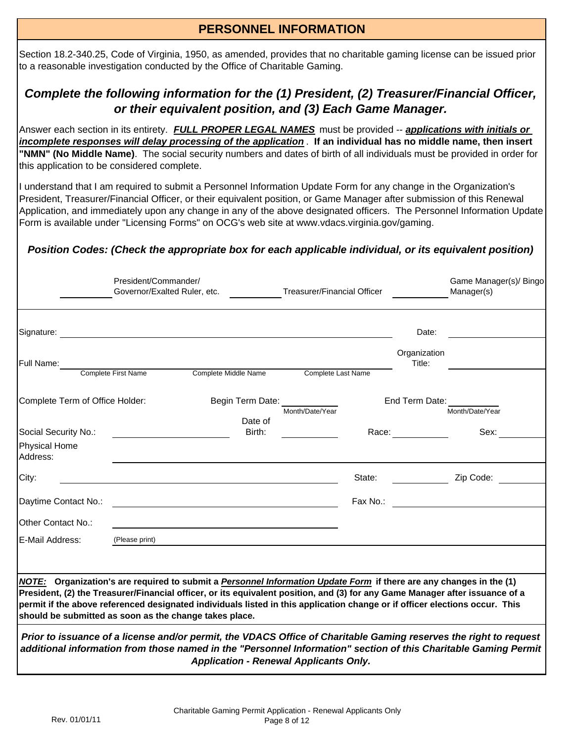#### **PERSONNEL INFORMATION**

Section 18.2-340.25, Code of Virginia, 1950, as amended, provides that no charitable gaming license can be issued prior to a reasonable investigation conducted by the Office of Charitable Gaming.

#### *Complete the following information for the (1) President, (2) Treasurer/Financial Officer, or their equivalent position, and (3) Each Game Manager.*

Answer each section in its entirety. *FULL PROPER LEGAL NAMES* must be provided -- *applications with initials or incomplete responses will delay processing of the application* . **If an individual has no middle name, then insert "NMN" (No Middle Name)**. The social security numbers and dates of birth of all individuals must be provided in order for this application to be considered complete.

I understand that I am required to submit a Personnel Information Update Form for any change in the Organization's President, Treasurer/Financial Officer, or their equivalent position, or Game Manager after submission of this Renewal Application, and immediately upon any change in any of the above designated officers. The Personnel Information Update Form is available under "Licensing Forms" on OCG's web site at www.vdacs.virginia.gov/gaming.

#### *Position Codes: (Check the appropriate box for each applicable individual, or its equivalent position)*

|                                                        | President/Commander/<br>Governor/Exalted Ruler, etc. |                                                                                                                                                                                                                                                                                                                                                                                    | <b>Treasurer/Financial Officer</b> |          |                        | Game Manager(s)/ Bingo<br>Manager(s) |
|--------------------------------------------------------|------------------------------------------------------|------------------------------------------------------------------------------------------------------------------------------------------------------------------------------------------------------------------------------------------------------------------------------------------------------------------------------------------------------------------------------------|------------------------------------|----------|------------------------|--------------------------------------|
| Signature:                                             |                                                      | <u> 1989 - John Stein, marking and de britannich and de britannich and de britannich and de britannich and de br</u>                                                                                                                                                                                                                                                               |                                    |          | Date:                  |                                      |
| Full Name:                                             |                                                      |                                                                                                                                                                                                                                                                                                                                                                                    |                                    |          | Organization<br>Title: |                                      |
|                                                        | Complete First Name                                  | Complete Middle Name                                                                                                                                                                                                                                                                                                                                                               | Complete Last Name                 |          |                        |                                      |
| Complete Term of Office Holder:                        |                                                      | Begin Term Date:<br>Date of                                                                                                                                                                                                                                                                                                                                                        | Month/Date/Year                    |          | End Term Date:         | Month/Date/Year                      |
| Social Security No.:                                   |                                                      | Birth:                                                                                                                                                                                                                                                                                                                                                                             |                                    |          | Race: $\frac{\ }{\ }$  | Sex:                                 |
| <b>Physical Home</b><br>Address:                       |                                                      |                                                                                                                                                                                                                                                                                                                                                                                    |                                    |          |                        |                                      |
| City:                                                  |                                                      |                                                                                                                                                                                                                                                                                                                                                                                    |                                    | State:   |                        | Zip Code:                            |
| Daytime Contact No.:                                   |                                                      |                                                                                                                                                                                                                                                                                                                                                                                    |                                    | Fax No.: |                        |                                      |
| <b>IOther Contact No.:</b>                             |                                                      |                                                                                                                                                                                                                                                                                                                                                                                    |                                    |          |                        |                                      |
| E-Mail Address:                                        | (Please print)                                       |                                                                                                                                                                                                                                                                                                                                                                                    |                                    |          |                        |                                      |
|                                                        |                                                      |                                                                                                                                                                                                                                                                                                                                                                                    |                                    |          |                        |                                      |
| should be submitted as soon as the change takes place. |                                                      | NOTE: Organization's are required to submit a Personnel Information Update Form if there are any changes in the (1)<br>President, (2) the Treasurer/Financial officer, or its equivalent position, and (3) for any Game Manager after issuance of a<br>permit if the above referenced designated individuals listed in this application change or if officer elections occur. This |                                    |          |                        |                                      |
|                                                        |                                                      | Prior to issuance of a license and/or permit, the VDACS Office of Charitable Gaming reserves the right to request<br>additional information from those named in the "Personnel Information" section of this Charitable Gaming Permit<br><b>Application - Renewal Applicants Only.</b>                                                                                              |                                    |          |                        |                                      |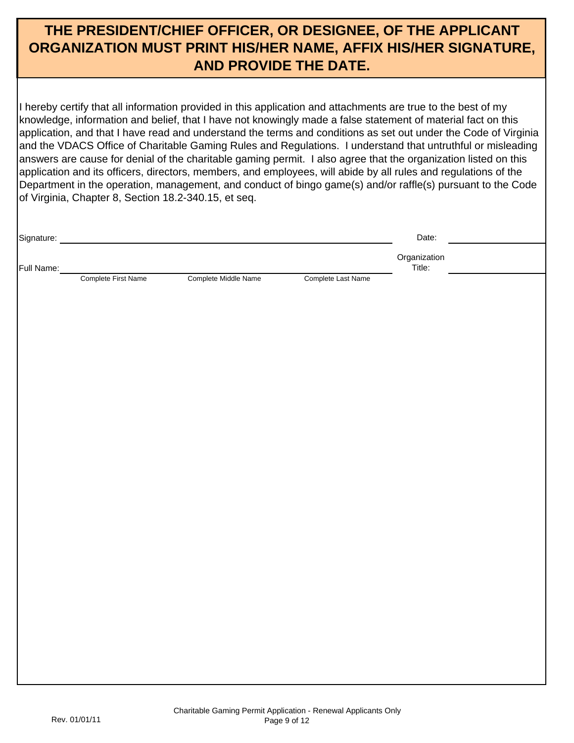## **THE PRESIDENT/CHIEF OFFICER, OR DESIGNEE, OF THE APPLICANT ORGANIZATION MUST PRINT HIS/HER NAME, AFFIX HIS/HER SIGNATURE, AND PROVIDE THE DATE.**

I hereby certify that all information provided in this application and attachments are true to the best of my knowledge, information and belief, that I have not knowingly made a false statement of material fact on this application, and that I have read and understand the terms and conditions as set out under the Code of Virginia and the VDACS Office of Charitable Gaming Rules and Regulations. I understand that untruthful or misleading answers are cause for denial of the charitable gaming permit. I also agree that the organization listed on this application and its officers, directors, members, and employees, will abide by all rules and regulations of the Department in the operation, management, and conduct of bingo game(s) and/or raffle(s) pursuant to the Code of Virginia, Chapter 8, Section 18.2-340.15, et seq.

| Signature: |                     |                      |                    | Date:        |  |
|------------|---------------------|----------------------|--------------------|--------------|--|
|            |                     |                      |                    | Organization |  |
| Full Name: | Complete First Name | Complete Middle Name | Complete Last Name | Title:       |  |
|            |                     |                      |                    |              |  |
|            |                     |                      |                    |              |  |
|            |                     |                      |                    |              |  |
|            |                     |                      |                    |              |  |
|            |                     |                      |                    |              |  |
|            |                     |                      |                    |              |  |
|            |                     |                      |                    |              |  |
|            |                     |                      |                    |              |  |
|            |                     |                      |                    |              |  |
|            |                     |                      |                    |              |  |
|            |                     |                      |                    |              |  |
|            |                     |                      |                    |              |  |
|            |                     |                      |                    |              |  |
|            |                     |                      |                    |              |  |
|            |                     |                      |                    |              |  |
|            |                     |                      |                    |              |  |
|            |                     |                      |                    |              |  |
|            |                     |                      |                    |              |  |
|            |                     |                      |                    |              |  |
|            |                     |                      |                    |              |  |
|            |                     |                      |                    |              |  |
|            |                     |                      |                    |              |  |
|            |                     |                      |                    |              |  |
|            |                     |                      |                    |              |  |
|            |                     |                      |                    |              |  |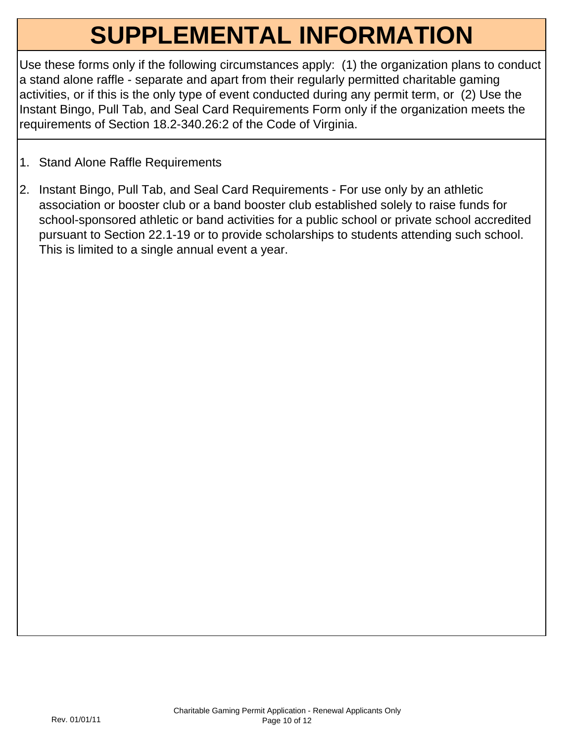# **SUPPLEMENTAL INFORMATION**

Use these forms only if the following circumstances apply: (1) the organization plans to conduct a stand alone raffle - separate and apart from their regularly permitted charitable gaming activities, or if this is the only type of event conducted during any permit term, or (2) Use the Instant Bingo, Pull Tab, and Seal Card Requirements Form only if the organization meets the requirements of Section 18.2-340.26:2 of the Code of Virginia.

- 1. Stand Alone Raffle Requirements
- 2. Instant Bingo, Pull Tab, and Seal Card Requirements For use only by an athletic association or booster club or a band booster club established solely to raise funds for school-sponsored athletic or band activities for a public school or private school accredited pursuant to Section 22.1-19 or to provide scholarships to students attending such school. This is limited to a single annual event a year.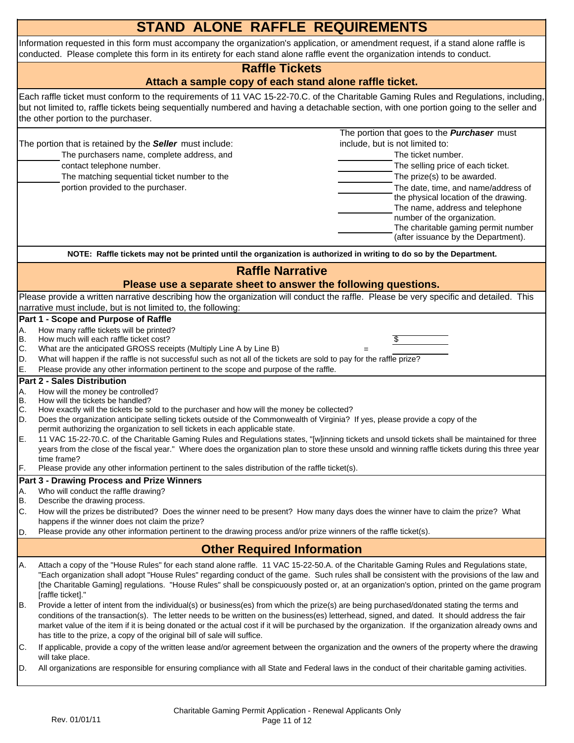|                                   | <b>STAND ALONE RAFFLE REQUIREMENTS</b>                                                                                                                                                                                                                                                                                                                                                                                                                                                                                                                                                                                                                                                                                                                                                                                                                                                                                                                                                                |  |  |  |  |  |  |
|-----------------------------------|-------------------------------------------------------------------------------------------------------------------------------------------------------------------------------------------------------------------------------------------------------------------------------------------------------------------------------------------------------------------------------------------------------------------------------------------------------------------------------------------------------------------------------------------------------------------------------------------------------------------------------------------------------------------------------------------------------------------------------------------------------------------------------------------------------------------------------------------------------------------------------------------------------------------------------------------------------------------------------------------------------|--|--|--|--|--|--|
|                                   | Information requested in this form must accompany the organization's application, or amendment request, if a stand alone raffle is<br>conducted. Please complete this form in its entirety for each stand alone raffle event the organization intends to conduct.                                                                                                                                                                                                                                                                                                                                                                                                                                                                                                                                                                                                                                                                                                                                     |  |  |  |  |  |  |
|                                   | <b>Raffle Tickets</b>                                                                                                                                                                                                                                                                                                                                                                                                                                                                                                                                                                                                                                                                                                                                                                                                                                                                                                                                                                                 |  |  |  |  |  |  |
|                                   | Attach a sample copy of each stand alone raffle ticket.                                                                                                                                                                                                                                                                                                                                                                                                                                                                                                                                                                                                                                                                                                                                                                                                                                                                                                                                               |  |  |  |  |  |  |
|                                   | Each raffle ticket must conform to the requirements of 11 VAC 15-22-70.C. of the Charitable Gaming Rules and Regulations, including,<br>but not limited to, raffle tickets being sequentially numbered and having a detachable section, with one portion going to the seller and<br>the other portion to the purchaser.                                                                                                                                                                                                                                                                                                                                                                                                                                                                                                                                                                                                                                                                               |  |  |  |  |  |  |
|                                   | The portion that goes to the <b>Purchaser</b> must<br>The portion that is retained by the <b>Seller</b> must include:<br>include, but is not limited to:<br>The purchasers name, complete address, and<br>The ticket number.<br>contact telephone number.<br>The selling price of each ticket.<br>The matching sequential ticket number to the<br>The prize(s) to be awarded.<br>portion provided to the purchaser.<br>The date, time, and name/address of<br>the physical location of the drawing.<br>The name, address and telephone<br>number of the organization.<br>The charitable gaming permit number<br>(after issuance by the Department).                                                                                                                                                                                                                                                                                                                                                   |  |  |  |  |  |  |
|                                   | NOTE: Raffle tickets may not be printed until the organization is authorized in writing to do so by the Department.                                                                                                                                                                                                                                                                                                                                                                                                                                                                                                                                                                                                                                                                                                                                                                                                                                                                                   |  |  |  |  |  |  |
|                                   | <b>Raffle Narrative</b>                                                                                                                                                                                                                                                                                                                                                                                                                                                                                                                                                                                                                                                                                                                                                                                                                                                                                                                                                                               |  |  |  |  |  |  |
|                                   | Please use a separate sheet to answer the following questions.                                                                                                                                                                                                                                                                                                                                                                                                                                                                                                                                                                                                                                                                                                                                                                                                                                                                                                                                        |  |  |  |  |  |  |
|                                   | Please provide a written narrative describing how the organization will conduct the raffle. Please be very specific and detailed. This<br>narrative must include, but is not limited to, the following:                                                                                                                                                                                                                                                                                                                                                                                                                                                                                                                                                                                                                                                                                                                                                                                               |  |  |  |  |  |  |
|                                   | Part 1 - Scope and Purpose of Raffle                                                                                                                                                                                                                                                                                                                                                                                                                                                                                                                                                                                                                                                                                                                                                                                                                                                                                                                                                                  |  |  |  |  |  |  |
| Α.<br>B.<br>C.<br>D.<br>E.        | How many raffle tickets will be printed?<br>How much will each raffle ticket cost?<br>What are the anticipated GROSS receipts (Multiply Line A by Line B)<br>What will happen if the raffle is not successful such as not all of the tickets are sold to pay for the raffle prize?<br>Please provide any other information pertinent to the scope and purpose of the raffle.                                                                                                                                                                                                                                                                                                                                                                                                                                                                                                                                                                                                                          |  |  |  |  |  |  |
|                                   | <b>Part 2 - Sales Distribution</b>                                                                                                                                                                                                                                                                                                                                                                                                                                                                                                                                                                                                                                                                                                                                                                                                                                                                                                                                                                    |  |  |  |  |  |  |
| Α.<br>В.<br>С.<br>D.<br>IE.<br>F. | How will the money be controlled?<br>How will the tickets be handled?<br>How exactly will the tickets be sold to the purchaser and how will the money be collected?<br>Does the organization anticipate selling tickets outside of the Commonwealth of Virginia? If yes, please provide a copy of the<br>permit authorizing the organization to sell tickets in each applicable state.<br>11 VAC 15-22-70.C. of the Charitable Gaming Rules and Regulations states, "[w]inning tickets and unsold tickets shall be maintained for three<br>years from the close of the fiscal year." Where does the organization plan to store these unsold and winning raffle tickets during this three year<br>time frame?<br>Please provide any other information pertinent to the sales distribution of the raffle ticket(s).                                                                                                                                                                                     |  |  |  |  |  |  |
|                                   | <b>Part 3 - Drawing Process and Prize Winners</b>                                                                                                                                                                                                                                                                                                                                                                                                                                                                                                                                                                                                                                                                                                                                                                                                                                                                                                                                                     |  |  |  |  |  |  |
| A.<br>B.                          | Who will conduct the raffle drawing?<br>Describe the drawing process.                                                                                                                                                                                                                                                                                                                                                                                                                                                                                                                                                                                                                                                                                                                                                                                                                                                                                                                                 |  |  |  |  |  |  |
| C.<br>D.                          | How will the prizes be distributed? Does the winner need to be present? How many days does the winner have to claim the prize? What<br>happens if the winner does not claim the prize?<br>Please provide any other information pertinent to the drawing process and/or prize winners of the raffle ticket(s).                                                                                                                                                                                                                                                                                                                                                                                                                                                                                                                                                                                                                                                                                         |  |  |  |  |  |  |
|                                   |                                                                                                                                                                                                                                                                                                                                                                                                                                                                                                                                                                                                                                                                                                                                                                                                                                                                                                                                                                                                       |  |  |  |  |  |  |
|                                   | <b>Other Required Information</b>                                                                                                                                                                                                                                                                                                                                                                                                                                                                                                                                                                                                                                                                                                                                                                                                                                                                                                                                                                     |  |  |  |  |  |  |
| A.<br>IB.                         | Attach a copy of the "House Rules" for each stand alone raffle. 11 VAC 15-22-50.A. of the Charitable Gaming Rules and Regulations state,<br>"Each organization shall adopt "House Rules" regarding conduct of the game. Such rules shall be consistent with the provisions of the law and<br>[the Charitable Gaming] regulations. "House Rules" shall be conspicuously posted or, at an organization's option, printed on the game program<br>[raffle ticket]."<br>Provide a letter of intent from the individual(s) or business(es) from which the prize(s) are being purchased/donated stating the terms and<br>conditions of the transaction(s). The letter needs to be written on the business(es) letterhead, signed, and dated. It should address the fair<br>market value of the item if it is being donated or the actual cost if it will be purchased by the organization. If the organization already owns and<br>has title to the prize, a copy of the original bill of sale will suffice. |  |  |  |  |  |  |
| C.<br>D.                          | If applicable, provide a copy of the written lease and/or agreement between the organization and the owners of the property where the drawing<br>will take place.<br>All organizations are responsible for ensuring compliance with all State and Federal laws in the conduct of their charitable gaming activities.                                                                                                                                                                                                                                                                                                                                                                                                                                                                                                                                                                                                                                                                                  |  |  |  |  |  |  |
|                                   |                                                                                                                                                                                                                                                                                                                                                                                                                                                                                                                                                                                                                                                                                                                                                                                                                                                                                                                                                                                                       |  |  |  |  |  |  |